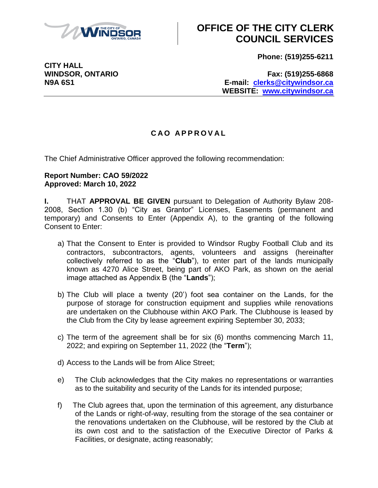

## **OFFICE OF THE CITY CLERK COUNCIL SERVICES**

**Phone: (519)255-6211**

**WINDSOR, ONTARIO Fax: (519)255-6868 N9A 6S1 E-mail: [clerks@citywindsor.ca](mailto:clerks@citywindsor.ca) WEBSITE: [www.citywindsor.ca](http://www.citywindsor.ca/)**

### **C A O A P P R O V A L**

The Chief Administrative Officer approved the following recommendation:

#### **Report Number: CAO 59/2022 Approved: March 10, 2022**

**I.** THAT **APPROVAL BE GIVEN** pursuant to Delegation of Authority Bylaw 208- 2008, Section 1.30 (b) "City as Grantor" Licenses, Easements (permanent and temporary) and Consents to Enter (Appendix A), to the granting of the following Consent to Enter:

- a) That the Consent to Enter is provided to Windsor Rugby Football Club and its contractors, subcontractors, agents, volunteers and assigns (hereinafter collectively referred to as the "**Club**"), to enter part of the lands municipally known as 4270 Alice Street, being part of AKO Park, as shown on the aerial image attached as Appendix B (the "**Lands**");
- b) The Club will place a twenty (20') foot sea container on the Lands, for the purpose of storage for construction equipment and supplies while renovations are undertaken on the Clubhouse within AKO Park. The Clubhouse is leased by the Club from the City by lease agreement expiring September 30, 2033;
- c) The term of the agreement shall be for six (6) months commencing March 11, 2022; and expiring on September 11, 2022 (the "**Term**");
- d) Access to the Lands will be from Alice Street;
- e) The Club acknowledges that the City makes no representations or warranties as to the suitability and security of the Lands for its intended purpose;
- f) The Club agrees that, upon the termination of this agreement, any disturbance of the Lands or right-of-way, resulting from the storage of the sea container or the renovations undertaken on the Clubhouse, will be restored by the Club at its own cost and to the satisfaction of the Executive Director of Parks & Facilities, or designate, acting reasonably;

**CITY HALL**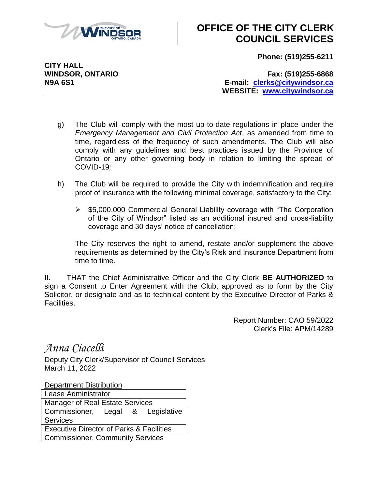

## **OFFICE OF THE CITY CLERK COUNCIL SERVICES**

**Phone: (519)255-6211**

**CITY HALL**

**WINDSOR, ONTARIO Fax: (519)255-6868 N9A 6S1 E-mail: [clerks@citywindsor.ca](mailto:clerks@citywindsor.ca) WEBSITE: [www.citywindsor.ca](http://www.citywindsor.ca/)**

- g) The Club will comply with the most up-to-date regulations in place under the *Emergency Management and Civil Protection Act*, as amended from time to time, regardless of the frequency of such amendments. The Club will also comply with any guidelines and best practices issued by the Province of Ontario or any other governing body in relation to limiting the spread of COVID-19*;*
- h) The Club will be required to provide the City with indemnification and require proof of insurance with the following minimal coverage, satisfactory to the City:
	- $\triangleright$  \$5,000,000 Commercial General Liability coverage with "The Corporation" of the City of Windsor" listed as an additional insured and cross-liability coverage and 30 days' notice of cancellation;

The City reserves the right to amend, restate and/or supplement the above requirements as determined by the City's Risk and Insurance Department from time to time.

**II.** THAT the Chief Administrative Officer and the City Clerk **BE AUTHORIZED** to sign a Consent to Enter Agreement with the Club, approved as to form by the City Solicitor, or designate and as to technical content by the Executive Director of Parks & Facilities.

> Report Number: CAO 59/2022 Clerk's File: APM/14289

*Anna Ciacelli*

Deputy City Clerk/Supervisor of Council Services March 11, 2022

Department Distribution

| <b>Lease Administrator</b>                          |  |  |  |
|-----------------------------------------------------|--|--|--|
| <b>Manager of Real Estate Services</b>              |  |  |  |
| Commissioner, Legal & Legislative                   |  |  |  |
| <b>Services</b>                                     |  |  |  |
| <b>Executive Director of Parks &amp; Facilities</b> |  |  |  |
| <b>Commissioner, Community Services</b>             |  |  |  |